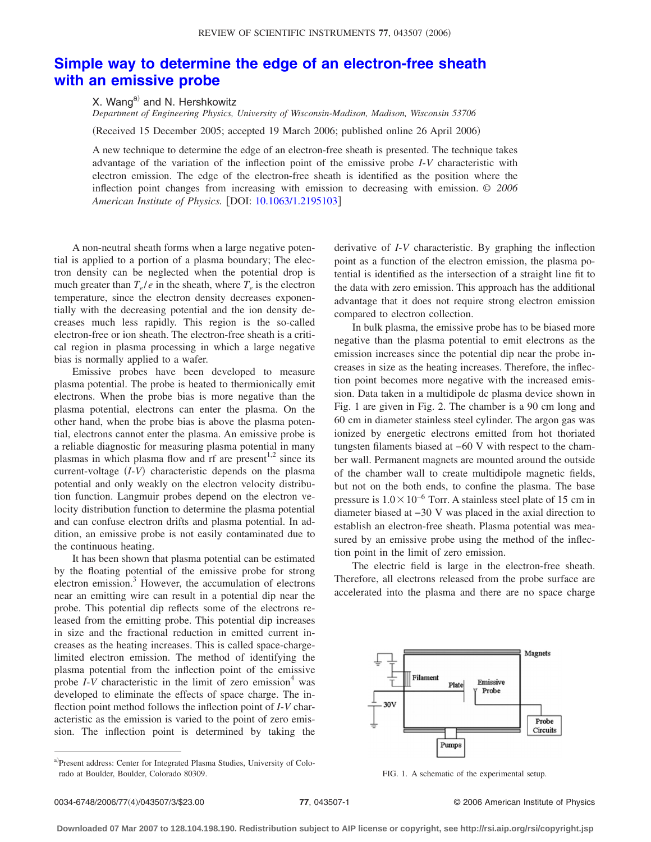## **[Simple way to determine the edge of an electron-free sheath](http://dx.doi.org/10.1063/1.2195103) [with an emissive probe](http://dx.doi.org/10.1063/1.2195103)**

X. Wang<sup>a)</sup> and N. Hershkowitz

*Department of Engineering Physics, University of Wisconsin-Madison, Madison, Wisconsin 53706*

(Received 15 December 2005; accepted 19 March 2006; published online 26 April 2006)

A new technique to determine the edge of an electron-free sheath is presented. The technique takes advantage of the variation of the inflection point of the emissive probe *I*-*V* characteristic with electron emission. The edge of the electron-free sheath is identified as the position where the inflection point changes from increasing with emission to decreasing with emission. *© 2006 American Institute of Physics.* [DOI: [10.1063/1.2195103](http://dx.doi.org/10.1063/1.2195103)]

A non-neutral sheath forms when a large negative potential is applied to a portion of a plasma boundary; The electron density can be neglected when the potential drop is much greater than  $T_e/e$  in the sheath, where  $T_e$  is the electron temperature, since the electron density decreases exponentially with the decreasing potential and the ion density decreases much less rapidly. This region is the so-called electron-free or ion sheath. The electron-free sheath is a critical region in plasma processing in which a large negative bias is normally applied to a wafer.

Emissive probes have been developed to measure plasma potential. The probe is heated to thermionically emit electrons. When the probe bias is more negative than the plasma potential, electrons can enter the plasma. On the other hand, when the probe bias is above the plasma potential, electrons cannot enter the plasma. An emissive probe is a reliable diagnostic for measuring plasma potential in many plasmas in which plasma flow and rf are present<sup>1,2</sup> since its current-voltage (*I*-*V*) characteristic depends on the plasma potential and only weakly on the electron velocity distribution function. Langmuir probes depend on the electron velocity distribution function to determine the plasma potential and can confuse electron drifts and plasma potential. In addition, an emissive probe is not easily contaminated due to the continuous heating.

It has been shown that plasma potential can be estimated by the floating potential of the emissive probe for strong electron emission.<sup>3</sup> However, the accumulation of electrons near an emitting wire can result in a potential dip near the probe. This potential dip reflects some of the electrons released from the emitting probe. This potential dip increases in size and the fractional reduction in emitted current increases as the heating increases. This is called space-chargelimited electron emission. The method of identifying the plasma potential from the inflection point of the emissive probe  $I-V$  characteristic in the limit of zero emission<sup>4</sup> was developed to eliminate the effects of space charge. The inflection point method follows the inflection point of *I*-*V* characteristic as the emission is varied to the point of zero emission. The inflection point is determined by taking the

a)Present address: Center for Integrated Plasma Studies, University of Colorado at Boulder, Boulder, Colorado 80309. FIG. 1. A schematic of the experimental setup.

derivative of *I*-*V* characteristic. By graphing the inflection point as a function of the electron emission, the plasma potential is identified as the intersection of a straight line fit to the data with zero emission. This approach has the additional advantage that it does not require strong electron emission compared to electron collection.

In bulk plasma, the emissive probe has to be biased more negative than the plasma potential to emit electrons as the emission increases since the potential dip near the probe increases in size as the heating increases. Therefore, the inflection point becomes more negative with the increased emission. Data taken in a multidipole dc plasma device shown in Fig. 1 are given in Fig. 2. The chamber is a 90 cm long and 60 cm in diameter stainless steel cylinder. The argon gas was ionized by energetic electrons emitted from hot thoriated tungsten filaments biased at −60 V with respect to the chamber wall. Permanent magnets are mounted around the outside of the chamber wall to create multidipole magnetic fields, but not on the both ends, to confine the plasma. The base pressure is  $1.0\times10^{-6}$  Torr. A stainless steel plate of 15 cm in diameter biased at −30 V was placed in the axial direction to establish an electron-free sheath. Plasma potential was measured by an emissive probe using the method of the inflection point in the limit of zero emission.

The electric field is large in the electron-free sheath. Therefore, all electrons released from the probe surface are accelerated into the plasma and there are no space charge



4/043507/3/\$23.00 © 2006 American Institute of Physics **77**, 043507-1

**Downloaded 07 Mar 2007 to 128.104.198.190. Redistribution subject to AIP license or copyright, see http://rsi.aip.org/rsi/copyright.jsp**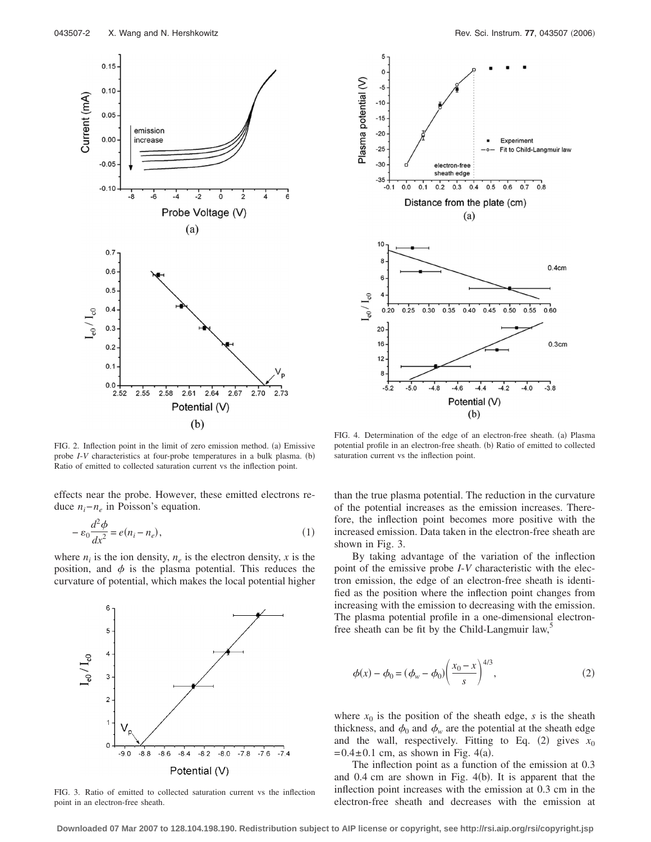

FIG. 2. Inflection point in the limit of zero emission method. (a) Emissive probe *I*-*V* characteristics at four-probe temperatures in a bulk plasma. (b) Ratio of emitted to collected saturation current vs the inflection point.

effects near the probe. However, these emitted electrons reduce *ni*−*ne* in Poisson's equation.

$$
-\varepsilon_0 \frac{d^2 \phi}{dx^2} = e(n_i - n_e),\tag{1}
$$

where  $n_i$  is the ion density,  $n_e$  is the electron density, x is the position, and  $\phi$  is the plasma potential. This reduces the curvature of potential, which makes the local potential higher



FIG. 3. Ratio of emitted to collected saturation current vs the inflection point in an electron-free sheath.



FIG. 4. Determination of the edge of an electron-free sheath. (a) Plasma potential profile in an electron-free sheath. (b) Ratio of emitted to collected saturation current vs the inflection point.

than the true plasma potential. The reduction in the curvature of the potential increases as the emission increases. Therefore, the inflection point becomes more positive with the increased emission. Data taken in the electron-free sheath are shown in Fig. 3.

By taking advantage of the variation of the inflection point of the emissive probe *I*-*V* characteristic with the electron emission, the edge of an electron-free sheath is identified as the position where the inflection point changes from increasing with the emission to decreasing with the emission. The plasma potential profile in a one-dimensional electronfree sheath can be fit by the Child-Langmuir  $law^3$ ,

$$
\phi(x) - \phi_0 = (\phi_w - \phi_0) \left( \frac{x_0 - x}{s} \right)^{4/3},
$$
\n(2)

where  $x_0$  is the position of the sheath edge, *s* is the sheath thickness, and  $\phi_0$  and  $\phi_w$  are the potential at the sheath edge and the wall, respectively. Fitting to Eq. (2) gives  $x_0$  $= 0.4 \pm 0.1$  cm, as shown in Fig. 4(a).

The inflection point as a function of the emission at 0.3 and  $0.4$  cm are shown in Fig.  $4(b)$ . It is apparent that the inflection point increases with the emission at 0.3 cm in the electron-free sheath and decreases with the emission at

**Downloaded 07 Mar 2007 to 128.104.198.190. Redistribution subject to AIP license or copyright, see http://rsi.aip.org/rsi/copyright.jsp**